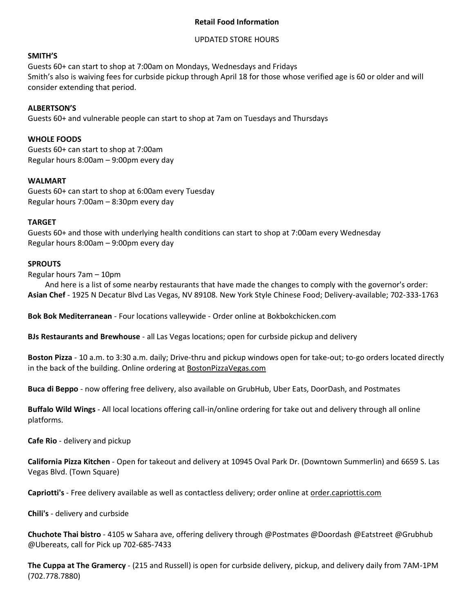# **Retail Food Information**

## UPDATED STORE HOURS

## **SMITH'S**

Guests 60+ can start to shop at 7:00am on Mondays, Wednesdays and Fridays Smith's also is waiving fees for curbside pickup through April 18 for those whose verified age is 60 or older and will consider extending that period.

## **ALBERTSON'S**

Guests 60+ and vulnerable people can start to shop at 7am on Tuesdays and Thursdays

## **WHOLE FOODS**

Guests 60+ can start to shop at 7:00am Regular hours 8:00am – 9:00pm every day

### **WALMART**

Guests 60+ can start to shop at 6:00am every Tuesday Regular hours 7:00am – 8:30pm every day

### **TARGET**

Guests 60+ and those with underlying health conditions can start to shop at 7:00am every Wednesday Regular hours 8:00am – 9:00pm every day

### **SPROUTS**

Regular hours 7am – 10pm

And here is a list of some nearby restaurants that have made the changes to comply with the governor's order: **Asian Chef** - 1925 N Decatur Blvd Las Vegas, NV 89108. New York Style Chinese Food; Delivery-available; 702-333-1763

**Bok Bok Mediterranean** - Four locations valleywide - Order online at Bokbokchicken.com

**BJs Restaurants and Brewhouse** - all Las Vegas locations; open for curbside pickup and delivery

**Boston Pizza** - 10 a.m. to 3:30 a.m. daily; Drive-thru and pickup windows open for take-out; to-go orders located directly in the back of the building. Online ordering at [BostonPizzaVegas.com](http://www.bostonpizzavegas.com/)

**[Buca di Beppo](https://www.bucadibeppo.com/online-ordering/)** - now offering free delivery, also available on GrubHub, Uber Eats, DoorDash, and Postmates

**[Buffalo Wild Wings](https://www.buffalowildwings.com/)** - All local locations offering call-in/online ordering for take out and delivery through all online platforms.

**Cafe Rio** - delivery and pickup

**California Pizza Kitchen** - Open for takeout and delivery at 10945 Oval Park Dr. (Downtown Summerlin) and 6659 S. Las Vegas Blvd. (Town Square)

**Capriotti's** - Free delivery available as well as contactless delivery; order online at [order.capriottis.com](http://www.order.capriottis.com/)

**Chili's** - delivery and curbside

**Chuchote Thai bistro** - 4105 w Sahara ave, offering delivery through @Postmates @Doordash @Eatstreet @Grubhub @Ubereats, call for Pick up 702-685-7433

**The Cuppa at The Gramercy** - (215 and Russell) is open for curbside delivery, pickup, and delivery daily from 7AM-1PM (702.778.7880)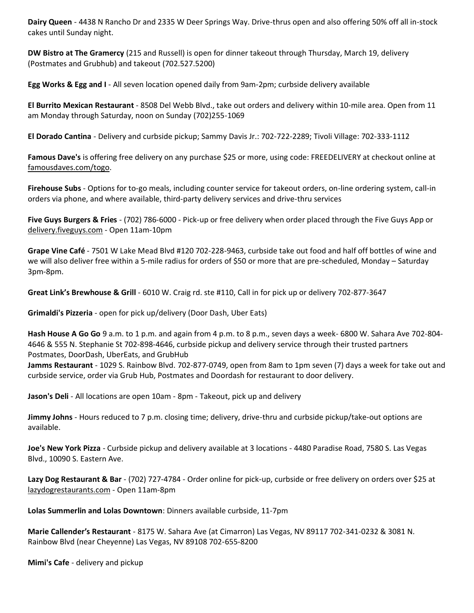**Dairy Queen** - 4438 N Rancho Dr and 2335 W Deer Springs Way. Drive-thrus open and also offering 50% off all in-stock cakes until Sunday night.

**DW Bistro at The Gramercy** (215 and Russell) is open for dinner takeout through Thursday, March 19, delivery (Postmates and Grubhub) and takeout (702.527.5200)

**[Egg Works & Egg and I](http://www.theeggworks.com/)** - All seven location opened daily from 9am-2pm; curbside delivery available

**El Burrito Mexican Restaurant** - 8508 Del Webb Blvd., take out orders and delivery within 10-mile area. Open from 11 am Monday through Saturday, noon on Sunday (702)255-1069

**El Dorado Cantina** - Delivery and curbside pickup; Sammy Davis Jr.: 702-722-2289; Tivoli Village: 702-333-1112

**[Famous Dave's](https://www.famousdaves.com/)** is offering free delivery on any purchase \$25 or more, using code: FREEDELIVERY at checkout online at [famousdaves.com/togo.](http://famousdaves.com/togo)

**Firehouse Subs** - Options for to-go meals, including counter service for takeout orders, on-line ordering system, call-in orders via phone, and where available, third-party delivery services and drive-thru services

**Five Guys Burgers & Fries** - (702) 786-6000 - Pick-up or free delivery when order placed through the Five Guys App or [delivery.fiveguys.com](http://delivery.fiveguys.com/) - Open 11am-10pm

**Grape Vine Café** - 7501 W Lake Mead Blvd #120 702-228-9463, curbside take out food and half off bottles of wine and we will also deliver free within a 5-mile radius for orders of \$50 or more that are pre-scheduled, Monday – Saturday 3pm-8pm.

**Great Link's Brewhouse & Grill** - 6010 W. Craig rd. ste #110, Call in for pick up or delivery 702-877-3647

**[Grimaldi's Pizzeria](https://www.grimaldispizzeria.com/)** - open for pick up/delivery (Door Dash, Uber Eats)

**Hash House A Go Go** 9 a.m. to 1 p.m. and again from 4 p.m. to 8 p.m., seven days a week- 6800 W. Sahara Ave 702-804- 4646 & 555 N. Stephanie St 702-898-4646, curbside pickup and delivery service through their trusted partners Postmates, DoorDash, UberEats, and GrubHub

**Jamms Restaurant** - 1029 S. Rainbow Blvd. 702-877-0749, open from 8am to 1pm seven (7) days a week for take out and curbside service, order via Grub Hub, Postmates and Doordash for restaurant to door delivery.

**[Jason's Deli](https://www.jasonsdeli.com/)** - All locations are open 10am - 8pm - Takeout, pick up and delivery

**Jimmy Johns** - Hours reduced to 7 p.m. closing time; delivery, drive-thru and curbside pickup/take-out options are available.

**[Joe's New York Pizza](https://joesnypizzalv.com/)** - Curbside pickup and delivery available at 3 locations - 4480 Paradise Road, 7580 S. Las Vegas Blvd., 10090 S. Eastern Ave.

**Lazy Dog Restaurant & Bar** - (702) 727-4784 - Order online for pick-up, curbside or free delivery on orders over \$25 at [lazydogrestaurants.com](http://lazydogrestaurants.com/) - Open 11am-8pm

**Lolas Summerlin and Lolas Downtown**: Dinners available curbside, 11-7pm

**Marie Callender's Restaurant** - 8175 W. Sahara Ave (at Cimarron) Las Vegas, NV 89117 702-341-0232 & 3081 N. Rainbow Blvd (near Cheyenne) Las Vegas, NV 89108 702-655-8200

**Mimi's Cafe** - delivery and pickup